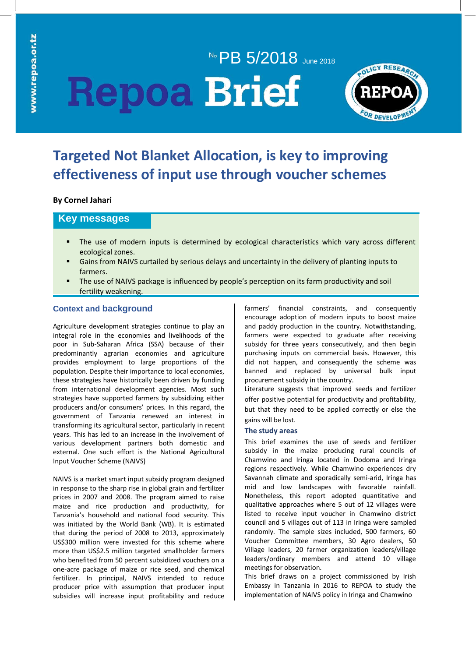# No PB 5/2018 June 2018 **Repoa Brief**



# **Targeted Not Blanket Allocation, is key to improving effectiveness of input use through voucher schemes**

# **By Cornel Jahari**

# **Key messages**

- The use of modern inputs is determined by ecological characteristics which vary across different ecological zones.
- Gains from NAIVS curtailed by serious delays and uncertainty in the delivery of planting inputs to farmers.
- **The use of NAIVS package is influenced by people's perception on its farm productivity and soil** fertility weakening.

# **Context and background**

Agriculture development strategies continue to play an integral role in the economies and livelihoods of the poor in Sub-Saharan Africa (SSA) because of their predominantly agrarian economies and agriculture provides employment to large proportions of the population. Despite their importance to local economies, these strategies have historically been driven by funding from international development agencies. Most such strategies have supported farmers by subsidizing either producers and/or consumers' prices. In this regard, the government of Tanzania renewed an interest in transforming its agricultural sector, particularly in recent years. This has led to an increase in the involvement of various development partners both domestic and external. One such effort is the National Agricultural Input Voucher Scheme (NAIVS)

NAIVS is a market smart input subsidy program designed in response to the sharp rise in global grain and fertilizer prices in 2007 and 2008. The program aimed to raise maize and rice production and productivity, for Tanzania's household and national food security. This was initiated by the World Bank (WB). It is estimated that during the period of 2008 to 2013, approximately US\$300 million were invested for this scheme where more than US\$2.5 million targeted smallholder farmers who benefited from 50 percent subsidized vouchers on a one-acre package of maize or rice seed, and chemical fertilizer. In principal, NAIVS intended to reduce producer price with assumption that producer input subsidies will increase input profitability and reduce farmers' financial constraints, and consequently encourage adoption of modern inputs to boost maize and paddy production in the country. Notwithstanding, farmers were expected to graduate after receiving subsidy for three years consecutively, and then begin purchasing inputs on commercial basis. However, this did not happen, and consequently the scheme was banned and replaced by universal bulk input procurement subsidy in the country.

Literature suggests that improved seeds and fertilizer offer positive potential for productivity and profitability, but that they need to be applied correctly or else the gains will be lost.

#### **The study areas**

This brief examines the use of seeds and fertilizer subsidy in the maize producing rural councils of Chamwino and Iringa located in Dodoma and Iringa regions respectively. While Chamwino experiences dry Savannah climate and sporadically semi-arid, Iringa has mid and low landscapes with favorable rainfall. Nonetheless, this report adopted quantitative and qualitative approaches where 5 out of 12 villages were listed to receive input voucher in Chamwino district council and 5 villages out of 113 in Iringa were sampled randomly. The sample sizes included, 500 farmers, 60 Voucher Committee members, 30 Agro dealers, 50 Village leaders, 20 farmer organization leaders/village leaders/ordinary members and attend 10 village meetings for observation.

This brief draws on a project commissioned by Irish Embassy in Tanzania in 2016 to REPOA to study the implementation of NAIVS policy in Iringa and Chamwino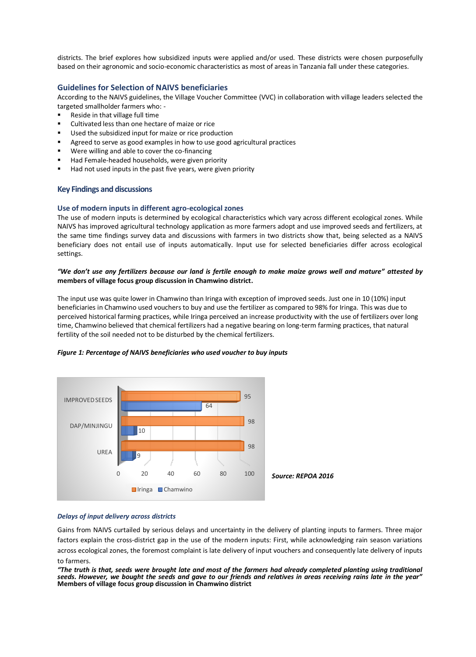districts. The brief explores how subsidized inputs were applied and/or used. These districts were chosen purposefully based on their agronomic and socio-economic characteristics as most of areas in Tanzania fall under these categories.

## **Guidelines for Selection of NAIVS beneficiaries**

According to the NAIVS guidelines, the Village Voucher Committee (VVC) in collaboration with village leaders selected the targeted smallholder farmers who: -

- Reside in that village full time
- **•** Cultivated less than one hectare of maize or rice
- Used the subsidized input for maize or rice production
- Agreed to serve as good examples in how to use good agricultural practices
- Were willing and able to cover the co-financing
- Had Female-headed households, were given priority
- Had not used inputs in the past five years, were given priority

#### **Key Findings and discussions**

#### **Use of modern inputs in different agro-ecological zones**

The use of modern inputs is determined by ecological characteristics which vary across different ecological zones. While NAIVS has improved agricultural technology application as more farmers adopt and use improved seeds and fertilizers, at the same time findings survey data and discussions with farmers in two districts show that, being selected as a NAIVS beneficiary does not entail use of inputs automatically. Input use for selected beneficiaries differ across ecological settings.

### *"We don't use any fertilizers because our land is fertile enough to make maize grows well and mature" attested by*  **members of village focus group discussion in Chamwino district.**

The input use was quite lower in Chamwino than Iringa with exception of improved seeds. Just one in 10 (10%) input beneficiaries in Chamwino used vouchers to buy and use the fertilizer as compared to 98% for Iringa. This was due to perceived historical farming practices, while Iringa perceived an increase productivity with the use of fertilizers over long time, Chamwino believed that chemical fertilizers had a negative bearing on long-term farming practices, that natural fertility of the soil needed not to be disturbed by the chemical fertilizers.



#### *Figure 1: Percentage of NAIVS beneficiaries who used voucher to buy inputs*

#### *Delays of input delivery across districts*

Gains from NAIVS curtailed by serious delays and uncertainty in the delivery of planting inputs to farmers. Three major factors explain the cross-district gap in the use of the modern inputs: First, while acknowledging rain season variations across ecological zones, the foremost complaint is late delivery of input vouchers and consequently late delivery of inputs to farmers.

*"The truth is that, seeds were brought late and most of the farmers had already completed planting using traditional seeds. However, we bought the seeds and gave to our friends and relatives in areas receiving rains late in the year"*  **Members of village focus group discussion in Chamwino district**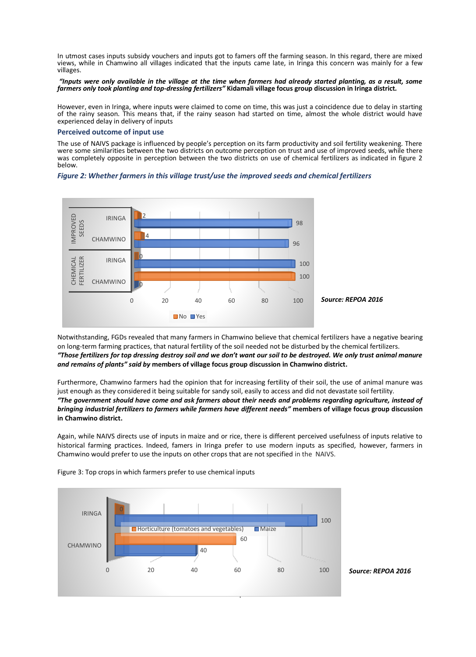In utmost cases inputs subsidy vouchers and inputs got to famers off the farming season. In this regard, there are mixed views, while in Chamwino all villages indicated that the inputs came late, in Iringa this concern was mainly for a few villages.

#### *"Inputs were only available in the village at the time when farmers had already started planting, as a result, some farmers only took planting and top-dressing fertilizers"* **Kidamali village focus group discussion in Iringa district***.*

However, even in Iringa, where inputs were claimed to come on time, this was just a coincidence due to delay in starting of the rainy season. This means that, if the rainy season had started on time, almost the whole district would have experienced delay in delivery of inputs

#### **Perceived outcome of input use**

The use of NAIVS package is influenced by people's perception on its farm productivity and soil fertility weakening. There were some similarities between the two districts on outcome perception on trust and use of improved seeds, while there was completely opposite in perception between the two districts on use of chemical fertilizers as indicated in figure 2 below.





Notwithstanding, FGDs revealed that many farmers in Chamwino believe that chemical fertilizers have a negative bearing on long-term farming practices, that natural fertility of the soil needed not be disturbed by the chemical fertilizers. *"Those fertilizers for top dressing destroy soil and we don't want our soil to be destroyed. We only trust animal manure and remains of plants" said by* **members of village focus group discussion in Chamwino district.**

Furthermore, Chamwino farmers had the opinion that for increasing fertility of their soil, the use of animal manure was just enough as they considered it being suitable for sandy soil, easily to access and did not devastate soil fertility. *"The government should have come and ask farmers about their needs and problems regarding agriculture, instead of bringing industrial fertilizers to farmers while farmers have different needs"* **members of village focus group discussion in Chamwino district.**

Again, while NAIVS directs use of inputs in maize and or rice, there is different perceived usefulness of inputs relative to historical farming practices. Indeed, famers in Iringa prefer to use modern inputs as specified, however, farmers in Chamwino would prefer to use the inputs on other crops that are not specified in the NAIVS.



Figure 3: Top crops in which farmers prefer to use chemical inputs